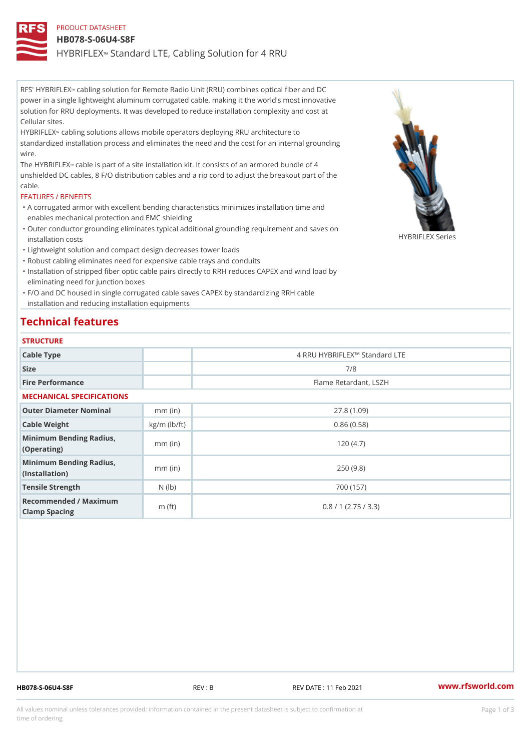PRODUCT DATASHEET HB078-S-06U4-S8F HYBRIFL & Kandard LTE, Cabling Solution for 4 RRU

RFS' HYBRIE&LEIXng solution for Remote Radio Unit (RRU) combines optical fiber and DC power in a single lightweight aluminum corrugated cable, making it the world's most innovative solution for RRU deployments. It was developed to reduce installation complexity and cost at Cellular sites.

HYBRIFLE2N bling solutions allows mobile operators deploying RRU architecture to standardized installation process and eliminates the need and the cost for an internal grounding wire.

The HYBRIF Fola ED Xe is part of a site installation kit. It consists of an armored bundle of 4 unshielded DC cables, 8 F/O distribution cables and a rip cord to adjust the breakout part of the cable.

#### FEATURES / BENEFITS

- A corrugated armor with excellent bending characteristics minimizes installation time and " enables mechanical protection and EMC shielding
- Outer conductor grounding eliminates typical additional grounding requirement and saves on " installation costs HYBRIFLEX Series
- "Lightweight solution and compact design decreases tower loads
- "Robust cabling eliminates need for expensive cable trays and conduits
- "Installation of stripped fiber optic cable pairs directly to RRH reduces CAPEX and wind load by eliminating need for junction boxes

F/O and DC housed in single corrugated cable saves CAPEX by standardizing RRH cable " installation and reducing installation equipments

## Technical features

#### **STRUCTURE**

| Cable Type                                        |                | 4 RRU HYBRIFLEX!" Standard LTE |  |
|---------------------------------------------------|----------------|--------------------------------|--|
| Size                                              |                | 7/8                            |  |
| Fire Performance                                  |                | Flame Retardant, LSZH          |  |
| MECHANICAL SPECIFICATIONS                         |                |                                |  |
| Outer Diameter Nominal                            | mm (in)        | 27.8(1.09)                     |  |
| Cable Weight                                      | $kg/m$ (lb/ft) | 0.86(0.58)                     |  |
| Minimum Bending Radius, mm (in)<br>(Operating)    |                | 120(4.7)                       |  |
| Minimum Bending Radius, mm (in)<br>(Installation) |                | 250(9.8)                       |  |
| Tensile Strength                                  | $N$ (lb)       | 700 (157)                      |  |
| Recommended / Maximum<br>Clamp Spacing            | m $(ft)$       | 0.8 / 1 (2.75 / 3.3)           |  |

HB078-S-06U4-S8F REV : B REV DATE : 11 Feb 2021 [www.](https://www.rfsworld.com)rfsworld.com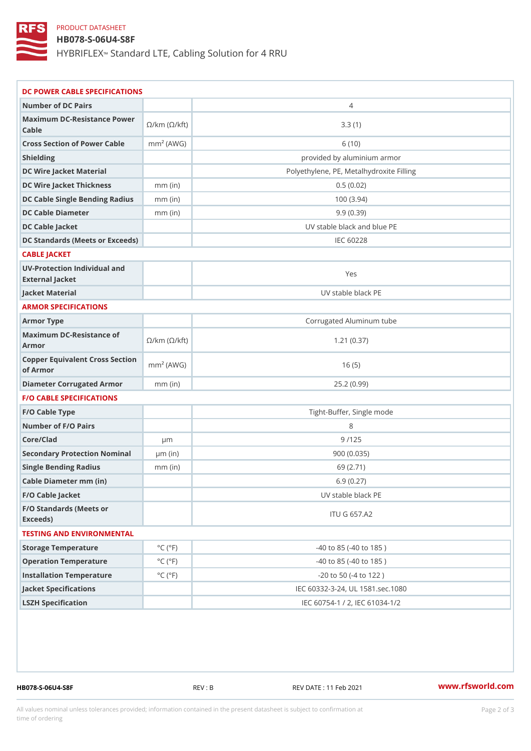### PRODUCT DATASHEET

## HB078-S-06U4-S8F

HYBRIFL & Mandard LTE, Cabling Solution for 4 RRU

| DC POWER CABLE SPECIFICATIONS                                                                                                   |                             |                                          |  |  |
|---------------------------------------------------------------------------------------------------------------------------------|-----------------------------|------------------------------------------|--|--|
| Number of DC Pairs                                                                                                              |                             | $\overline{4}$                           |  |  |
| Maximum DC-Resistance $\bigotimes_{k=m}^{\infty}$ ( $\bigotimes_{k=m}^{\infty}$ /km ( $\bigotimes_{k=m}^{\infty}$ )<br>$C$ able |                             | 3.3(1)                                   |  |  |
| Cross Section of Power Chamble (AWG)                                                                                            |                             | 6(10)                                    |  |  |
| Shielding                                                                                                                       |                             | provided by aluminium armor              |  |  |
| DC Wire Jacket Material                                                                                                         |                             | Polyethylene, PE, Metalhydroxite Filling |  |  |
| DC Wire Jacket Thicknessmm (in)                                                                                                 |                             | 0.5(0.02)                                |  |  |
| DC Cable Single Bending Rmandi(uish                                                                                             |                             | 100(3.94)                                |  |  |
| DC Cable Diameter                                                                                                               | mm (in                      | 9.9(0.39)                                |  |  |
| DC Cable Jacket                                                                                                                 |                             | UV stable black and blue PE              |  |  |
| DC Standards (Meets or Exceeds)                                                                                                 |                             | IEC 60228                                |  |  |
| CABLE JACKET                                                                                                                    |                             |                                          |  |  |
| UV-Protection Individual and<br>External Jacket                                                                                 |                             | Yes                                      |  |  |
| Jacket Material                                                                                                                 |                             | UV stable black PE                       |  |  |
| ARMOR SPECIFICATIONS                                                                                                            |                             |                                          |  |  |
| Armor Type                                                                                                                      |                             | Corrugated Aluminum tube                 |  |  |
| Maximum DC-Resistance of km (©/kft)<br>Armor                                                                                    |                             | 1.21(0.37)                               |  |  |
| Copper Equivalent Cross Section<br>of Armor                                                                                     |                             | 16(5)                                    |  |  |
| Diameter Corrugated Armomm (in)                                                                                                 |                             | 25.2(0.99)                               |  |  |
| <b>F/O CABLE SPECIFICATIONS</b>                                                                                                 |                             |                                          |  |  |
| F/O Cable Type                                                                                                                  |                             | Tight-Buffer, Single mode                |  |  |
| Number of F/O Pairs                                                                                                             |                             | 8                                        |  |  |
| Core/Clad                                                                                                                       | $\mu$ m                     | 9/125                                    |  |  |
| Secondary Protection Nomimal(in)                                                                                                |                             | 900(0.035)                               |  |  |
| Single Bending Radius                                                                                                           | $mm$ (in)                   | 69 (2.71)                                |  |  |
| Cable Diameter mm (in)                                                                                                          |                             | 6.9(0.27)                                |  |  |
| F/O Cable Jacket                                                                                                                |                             | UV stable black PE                       |  |  |
| F/O Standards (Meets or<br>Exceeds)                                                                                             |                             | <b>ITU G 657.A2</b>                      |  |  |
| TESTING AND ENVIRONMENTAL                                                                                                       |                             |                                          |  |  |
| Storage Temperature                                                                                                             | $^{\circ}$ C ( $^{\circ}$ F | $-40$ to $85$ ( $-40$ to $185$ )         |  |  |
| Operation Temperature                                                                                                           | $^{\circ}$ C ( $^{\circ}$ F | $-40$ to $85$ ( $-40$ to $185$ )         |  |  |
| Installation Temperature                                                                                                        | $^{\circ}$ C ( $^{\circ}$ F | $-20$ to $50$ ( $-4$ to $122$ )          |  |  |
| Jacket Specifications                                                                                                           |                             | IEC 60332-3-24, UL 1581.sec.1080         |  |  |
| LSZH Specification                                                                                                              |                             | IEC 60754-1 / 2, IEC 61034-1/2           |  |  |
|                                                                                                                                 |                             |                                          |  |  |

HB078-S-06U4-S8F REV : B REV DATE : 11 Feb 2021 [www.](https://www.rfsworld.com)rfsworld.com